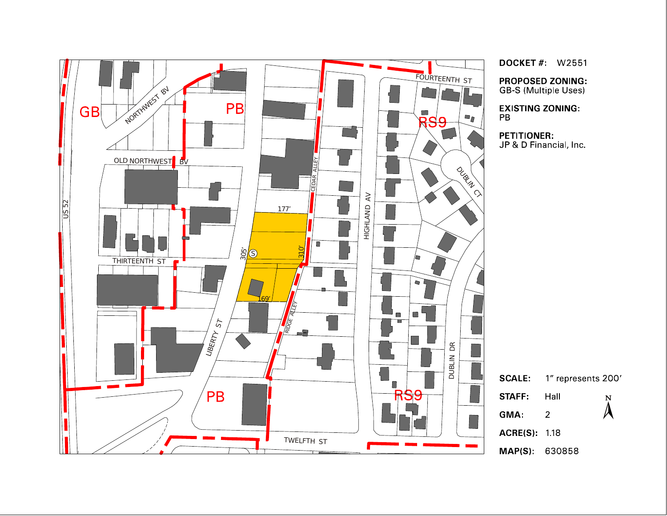

**DOCKET #: W2551** 

**PROPOSED ZONING: GB-S (Multiple Uses)** 

**EXISTING ZONING:** 

**PETITIONER:** JP & D Financial, Inc.

> 1" represents 200' Hall  ${\bf N}$  $\lambda$

 $\overline{2}$ 

MAP(S): 630858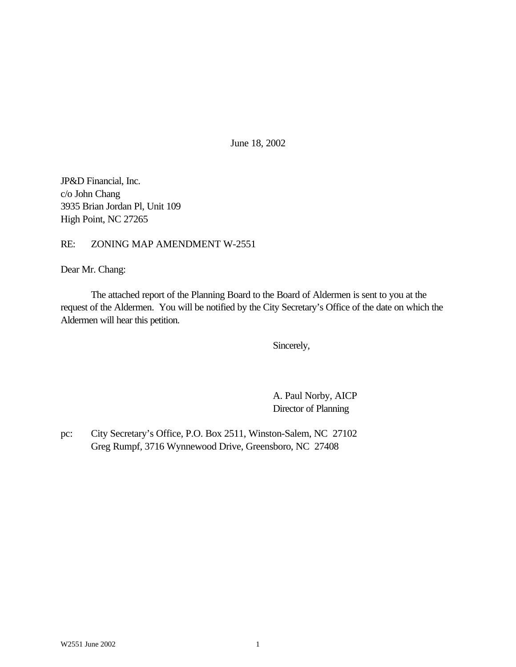June 18, 2002

JP&D Financial, Inc. c/o John Chang 3935 Brian Jordan Pl, Unit 109 High Point, NC 27265

RE: ZONING MAP AMENDMENT W-2551

Dear Mr. Chang:

The attached report of the Planning Board to the Board of Aldermen is sent to you at the request of the Aldermen. You will be notified by the City Secretary's Office of the date on which the Aldermen will hear this petition.

Sincerely,

A. Paul Norby, AICP Director of Planning

pc: City Secretary's Office, P.O. Box 2511, Winston-Salem, NC 27102 Greg Rumpf, 3716 Wynnewood Drive, Greensboro, NC 27408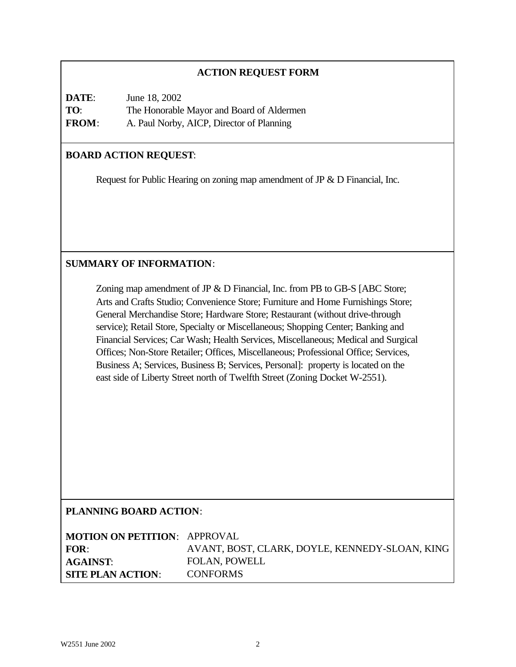# **ACTION REQUEST FORM**

| DATE:        | June 18, 2002                             |
|--------------|-------------------------------------------|
| TO:          | The Honorable Mayor and Board of Aldermen |
| <b>FROM:</b> | A. Paul Norby, AICP, Director of Planning |

#### **BOARD ACTION REQUEST**:

Request for Public Hearing on zoning map amendment of JP & D Financial, Inc.

# **SUMMARY OF INFORMATION**:

Zoning map amendment of JP & D Financial, Inc. from PB to GB-S [ABC Store; Arts and Crafts Studio; Convenience Store; Furniture and Home Furnishings Store; General Merchandise Store; Hardware Store; Restaurant (without drive-through service); Retail Store, Specialty or Miscellaneous; Shopping Center; Banking and Financial Services; Car Wash; Health Services, Miscellaneous; Medical and Surgical Offices; Non-Store Retailer; Offices, Miscellaneous; Professional Office; Services, Business A; Services, Business B; Services, Personal]: property is located on the east side of Liberty Street north of Twelfth Street (Zoning Docket W-2551).

# **PLANNING BOARD ACTION**:

| <b>MOTION ON PETITION: APPROVAL</b> |                                                |
|-------------------------------------|------------------------------------------------|
| <b>FOR:</b>                         | AVANT, BOST, CLARK, DOYLE, KENNEDY-SLOAN, KING |
| <b>AGAINST:</b>                     | <b>FOLAN, POWELL</b>                           |
| <b>SITE PLAN ACTION:</b>            | <b>CONFORMS</b>                                |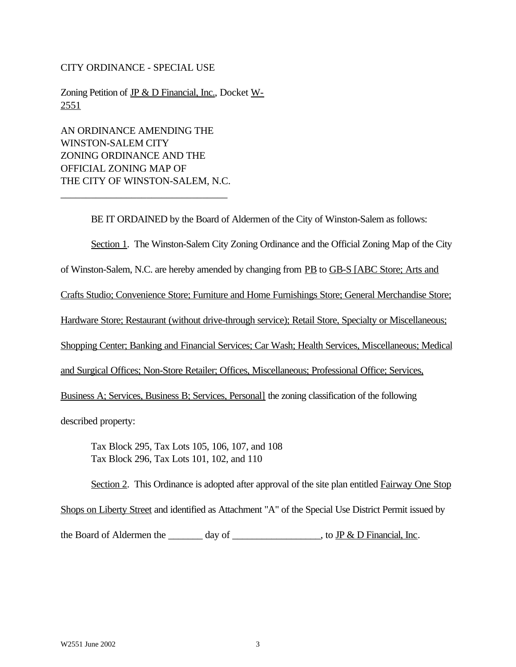#### CITY ORDINANCE - SPECIAL USE

Zoning Petition of JP & D Financial, Inc., Docket W-2551

AN ORDINANCE AMENDING THE WINSTON-SALEM CITY ZONING ORDINANCE AND THE OFFICIAL ZONING MAP OF THE CITY OF WINSTON-SALEM, N.C.

\_\_\_\_\_\_\_\_\_\_\_\_\_\_\_\_\_\_\_\_\_\_\_\_\_\_\_\_\_\_\_\_\_

BE IT ORDAINED by the Board of Aldermen of the City of Winston-Salem as follows:

Section 1. The Winston-Salem City Zoning Ordinance and the Official Zoning Map of the City

of Winston-Salem, N.C. are hereby amended by changing from PB to GB-S [ABC Store; Arts and

Crafts Studio; Convenience Store; Furniture and Home Furnishings Store; General Merchandise Store;

Hardware Store; Restaurant (without drive-through service); Retail Store, Specialty or Miscellaneous;

Shopping Center; Banking and Financial Services; Car Wash; Health Services, Miscellaneous; Medical

and Surgical Offices; Non-Store Retailer; Offices, Miscellaneous; Professional Office; Services,

Business A; Services, Business B; Services, Personal] the zoning classification of the following

described property:

Tax Block 295, Tax Lots 105, 106, 107, and 108 Tax Block 296, Tax Lots 101, 102, and 110

Section 2. This Ordinance is adopted after approval of the site plan entitled Fairway One Stop

Shops on Liberty Street and identified as Attachment "A" of the Special Use District Permit issued by

the Board of Aldermen the  $\frac{1}{\text{day of}}$  day of  $\frac{1}{\text{day}}$  to  $\frac{1}{\text{Py}}$  & D Financial, Inc.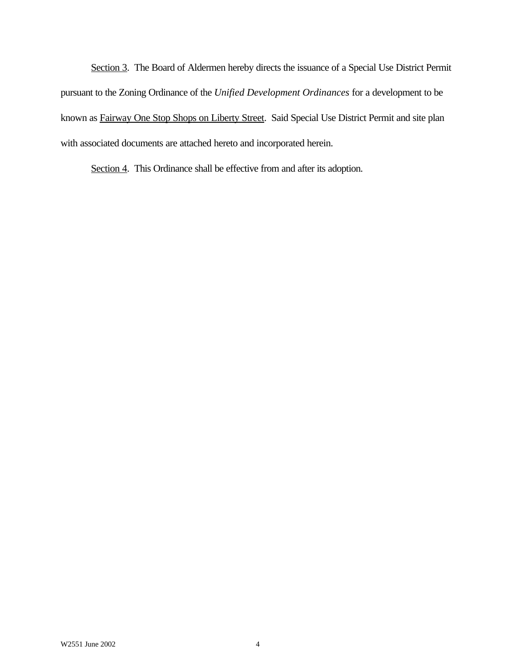Section 3. The Board of Aldermen hereby directs the issuance of a Special Use District Permit pursuant to the Zoning Ordinance of the *Unified Development Ordinances* for a development to be known as Fairway One Stop Shops on Liberty Street. Said Special Use District Permit and site plan with associated documents are attached hereto and incorporated herein.

Section 4. This Ordinance shall be effective from and after its adoption.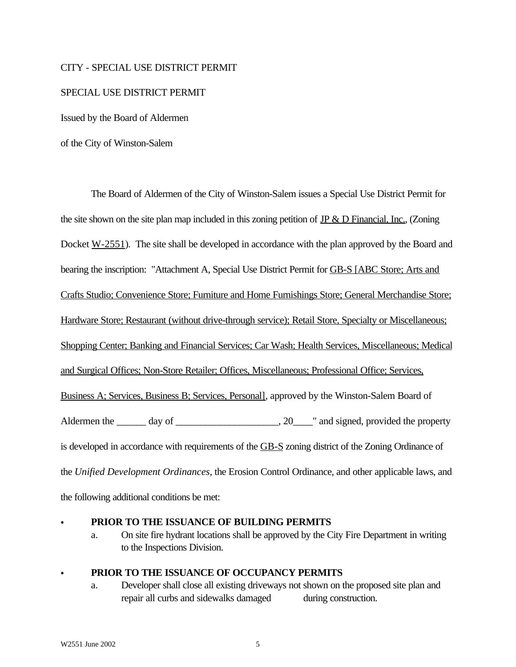#### CITY - SPECIAL USE DISTRICT PERMIT

#### SPECIAL USE DISTRICT PERMIT

Issued by the Board of Aldermen

of the City of Winston-Salem

The Board of Aldermen of the City of Winston-Salem issues a Special Use District Permit for the site shown on the site plan map included in this zoning petition of  $IP & D$  Financial, Inc., (Zoning Docket <u>W-2551</u>). The site shall be developed in accordance with the plan approved by the Board and bearing the inscription: "Attachment A, Special Use District Permit for GB-S [ABC Store; Arts and Crafts Studio; Convenience Store; Furniture and Home Furnishings Store; General Merchandise Store; Hardware Store; Restaurant (without drive-through service); Retail Store, Specialty or Miscellaneous; Shopping Center; Banking and Financial Services; Car Wash; Health Services, Miscellaneous; Medical and Surgical Offices; Non-Store Retailer; Offices, Miscellaneous; Professional Office; Services, Business A; Services, Business B; Services, Personal], approved by the Winston-Salem Board of Aldermen the  $\_\_\_\_$  day of  $\_\_\_\_\_\_\_$ . 20 $\_\_\_\_\$  and signed, provided the property is developed in accordance with requirements of the GB-S zoning district of the Zoning Ordinance of the *Unified Development Ordinances*, the Erosion Control Ordinance, and other applicable laws, and the following additional conditions be met:

#### C **PRIOR TO THE ISSUANCE OF BUILDING PERMITS**

a. On site fire hydrant locations shall be approved by the City Fire Department in writing to the Inspections Division.

#### PRIOR TO THE ISSUANCE OF OCCUPANCY PERMITS

a. Developer shall close all existing driveways not shown on the proposed site plan and repair all curbs and sidewalks damaged during construction.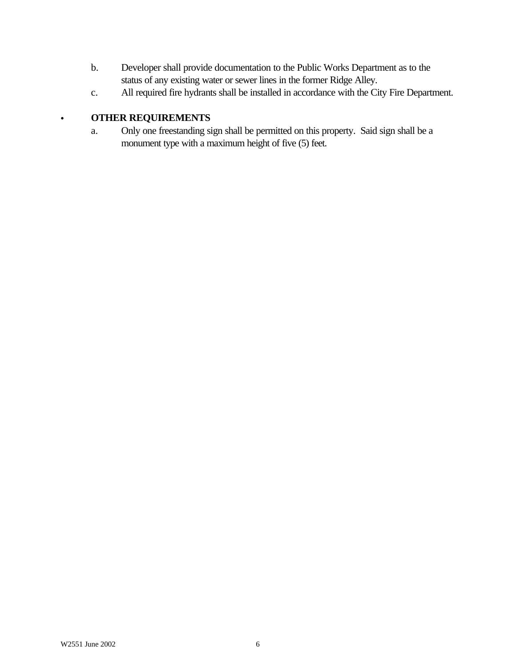- b. Developer shall provide documentation to the Public Works Department as to the status of any existing water or sewer lines in the former Ridge Alley.
- c. All required fire hydrants shall be installed in accordance with the City Fire Department.

# C **OTHER REQUIREMENTS**

a. Only one freestanding sign shall be permitted on this property. Said sign shall be a monument type with a maximum height of five (5) feet.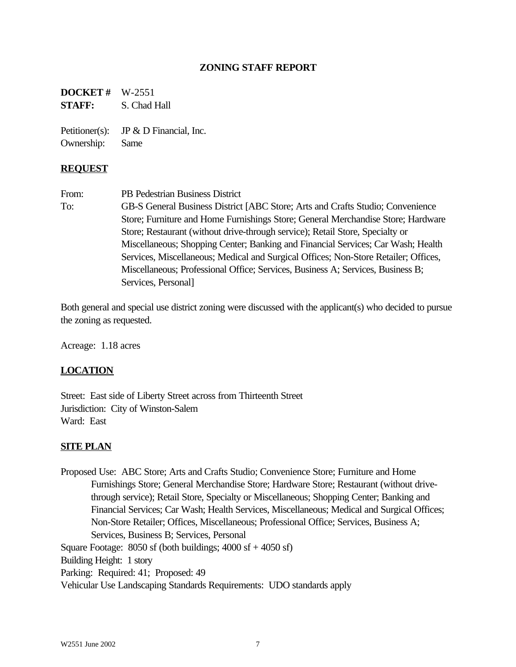# **ZONING STAFF REPORT**

**DOCKET #** W-2551 **STAFF:** S. Chad Hall

Petitioner(s): JP & D Financial, Inc. Ownership: Same

#### **REQUEST**

From: PB Pedestrian Business District To: GB-S General Business District [ABC Store; Arts and Crafts Studio; Convenience Store; Furniture and Home Furnishings Store; General Merchandise Store; Hardware Store; Restaurant (without drive-through service); Retail Store, Specialty or Miscellaneous; Shopping Center; Banking and Financial Services; Car Wash; Health Services, Miscellaneous; Medical and Surgical Offices; Non-Store Retailer; Offices, Miscellaneous; Professional Office; Services, Business A; Services, Business B; Services, Personal]

Both general and special use district zoning were discussed with the applicant(s) who decided to pursue the zoning as requested.

Acreage: 1.18 acres

#### **LOCATION**

Street: East side of Liberty Street across from Thirteenth Street Jurisdiction: City of Winston-Salem Ward: East

#### **SITE PLAN**

Proposed Use: ABC Store; Arts and Crafts Studio; Convenience Store; Furniture and Home Furnishings Store; General Merchandise Store; Hardware Store; Restaurant (without drivethrough service); Retail Store, Specialty or Miscellaneous; Shopping Center; Banking and Financial Services; Car Wash; Health Services, Miscellaneous; Medical and Surgical Offices; Non-Store Retailer; Offices, Miscellaneous; Professional Office; Services, Business A; Services, Business B; Services, Personal Square Footage:  $8050$  sf (both buildings;  $4000$  sf  $+ 4050$  sf) Building Height: 1 story Parking: Required: 41; Proposed: 49 Vehicular Use Landscaping Standards Requirements: UDO standards apply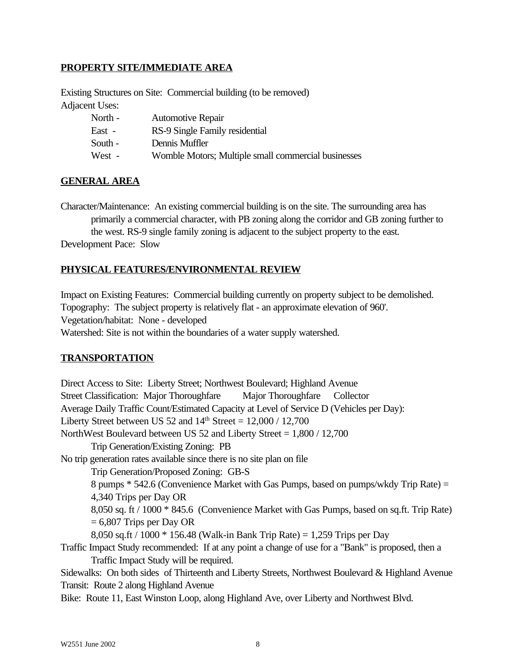# **PROPERTY SITE/IMMEDIATE AREA**

Existing Structures on Site: Commercial building (to be removed) Adjacent Uses:

| North - | <b>Automotive Repair</b>                            |
|---------|-----------------------------------------------------|
| East -  | RS-9 Single Family residential                      |
| South - | Dennis Muffler                                      |
| West -  | Womble Motors; Multiple small commercial businesses |

#### **GENERAL AREA**

Character/Maintenance: An existing commercial building is on the site. The surrounding area has primarily a commercial character, with PB zoning along the corridor and GB zoning further to the west. RS-9 single family zoning is adjacent to the subject property to the east. Development Pace: Slow

#### **PHYSICAL FEATURES/ENVIRONMENTAL REVIEW**

Impact on Existing Features: Commercial building currently on property subject to be demolished. Topography: The subject property is relatively flat - an approximate elevation of 960'. Vegetation/habitat: None - developed Watershed: Site is not within the boundaries of a water supply watershed.

#### **TRANSPORTATION**

Direct Access to Site: Liberty Street; Northwest Boulevard; Highland Avenue Street Classification: Major Thoroughfare Major Thoroughfare Collector Average Daily Traffic Count/Estimated Capacity at Level of Service D (Vehicles per Day): Liberty Street between US 52 and  $14<sup>th</sup> Street = 12,000 / 12,700$ NorthWest Boulevard between US 52 and Liberty Street = 1,800 / 12,700 Trip Generation/Existing Zoning: PB No trip generation rates available since there is no site plan on file Trip Generation/Proposed Zoning: GB-S 8 pumps \* 542.6 (Convenience Market with Gas Pumps, based on pumps/wkdy Trip Rate) = 4,340 Trips per Day OR 8,050 sq. ft / 1000 \* 845.6 (Convenience Market with Gas Pumps, based on sq.ft. Trip Rate)  $= 6,807$  Trips per Day OR 8,050 sq.ft / 1000 \* 156.48 (Walk-in Bank Trip Rate) = 1,259 Trips per Day Traffic Impact Study recommended: If at any point a change of use for a "Bank" is proposed, then a Traffic Impact Study will be required. Sidewalks: On both sides of Thirteenth and Liberty Streets, Northwest Boulevard & Highland Avenue Transit: Route 2 along Highland Avenue

Bike: Route 11, East Winston Loop, along Highland Ave, over Liberty and Northwest Blvd.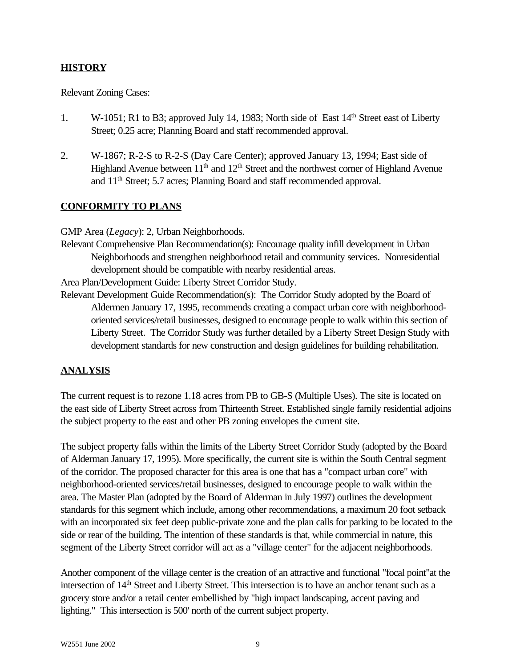# **HISTORY**

#### Relevant Zoning Cases:

- 1. W-1051; R1 to B3; approved July 14, 1983; North side of East 14<sup>th</sup> Street east of Liberty Street; 0.25 acre; Planning Board and staff recommended approval.
- 2. W-1867; R-2-S to R-2-S (Day Care Center); approved January 13, 1994; East side of Highland Avenue between  $11<sup>th</sup>$  and  $12<sup>th</sup>$  Street and the northwest corner of Highland Avenue and 11th Street; 5.7 acres; Planning Board and staff recommended approval.

# **CONFORMITY TO PLANS**

GMP Area (*Legacy*): 2, Urban Neighborhoods.

Relevant Comprehensive Plan Recommendation(s): Encourage quality infill development in Urban Neighborhoods and strengthen neighborhood retail and community services. Nonresidential development should be compatible with nearby residential areas.

Area Plan/Development Guide: Liberty Street Corridor Study.

Relevant Development Guide Recommendation(s): The Corridor Study adopted by the Board of Aldermen January 17, 1995, recommends creating a compact urban core with neighborhoodoriented services/retail businesses, designed to encourage people to walk within this section of Liberty Street. The Corridor Study was further detailed by a Liberty Street Design Study with development standards for new construction and design guidelines for building rehabilitation.

# **ANALYSIS**

The current request is to rezone 1.18 acres from PB to GB-S (Multiple Uses). The site is located on the east side of Liberty Street across from Thirteenth Street. Established single family residential adjoins the subject property to the east and other PB zoning envelopes the current site.

The subject property falls within the limits of the Liberty Street Corridor Study (adopted by the Board of Alderman January 17, 1995). More specifically, the current site is within the South Central segment of the corridor. The proposed character for this area is one that has a "compact urban core" with neighborhood-oriented services/retail businesses, designed to encourage people to walk within the area. The Master Plan (adopted by the Board of Alderman in July 1997) outlines the development standards for this segment which include, among other recommendations, a maximum 20 foot setback with an incorporated six feet deep public-private zone and the plan calls for parking to be located to the side or rear of the building. The intention of these standards is that, while commercial in nature, this segment of the Liberty Street corridor will act as a "village center" for the adjacent neighborhoods.

Another component of the village center is the creation of an attractive and functional "focal point"at the intersection of 14th Street and Liberty Street. This intersection is to have an anchor tenant such as a grocery store and/or a retail center embellished by "high impact landscaping, accent paving and lighting." This intersection is 500' north of the current subject property.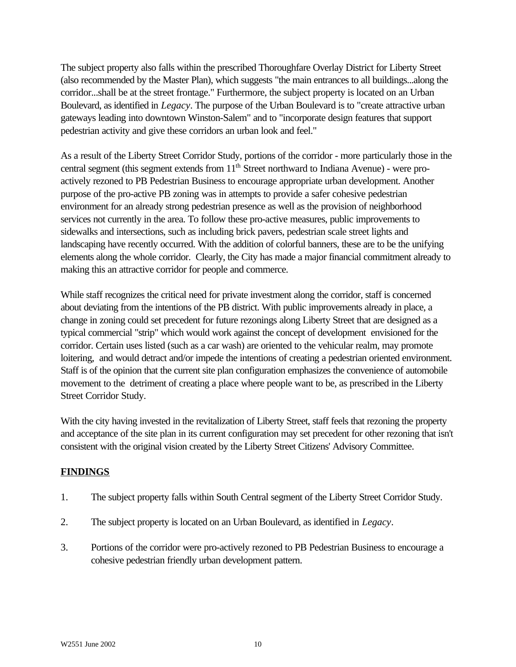The subject property also falls within the prescribed Thoroughfare Overlay District for Liberty Street (also recommended by the Master Plan), which suggests "the main entrances to all buildings...along the corridor...shall be at the street frontage." Furthermore, the subject property is located on an Urban Boulevard, as identified in *Legacy*. The purpose of the Urban Boulevard is to "create attractive urban gateways leading into downtown Winston-Salem" and to "incorporate design features that support pedestrian activity and give these corridors an urban look and feel."

As a result of the Liberty Street Corridor Study, portions of the corridor - more particularly those in the central segment (this segment extends from 11<sup>th</sup> Street northward to Indiana Avenue) - were proactively rezoned to PB Pedestrian Business to encourage appropriate urban development. Another purpose of the pro-active PB zoning was in attempts to provide a safer cohesive pedestrian environment for an already strong pedestrian presence as well as the provision of neighborhood services not currently in the area. To follow these pro-active measures, public improvements to sidewalks and intersections, such as including brick pavers, pedestrian scale street lights and landscaping have recently occurred. With the addition of colorful banners, these are to be the unifying elements along the whole corridor. Clearly, the City has made a major financial commitment already to making this an attractive corridor for people and commerce.

While staff recognizes the critical need for private investment along the corridor, staff is concerned about deviating from the intentions of the PB district. With public improvements already in place, a change in zoning could set precedent for future rezonings along Liberty Street that are designed as a typical commercial "strip" which would work against the concept of development envisioned for the corridor. Certain uses listed (such as a car wash) are oriented to the vehicular realm, may promote loitering, and would detract and/or impede the intentions of creating a pedestrian oriented environment. Staff is of the opinion that the current site plan configuration emphasizes the convenience of automobile movement to the detriment of creating a place where people want to be, as prescribed in the Liberty Street Corridor Study.

With the city having invested in the revitalization of Liberty Street, staff feels that rezoning the property and acceptance of the site plan in its current configuration may set precedent for other rezoning that isn't consistent with the original vision created by the Liberty Street Citizens' Advisory Committee.

# **FINDINGS**

- 1. The subject property falls within South Central segment of the Liberty Street Corridor Study.
- 2. The subject property is located on an Urban Boulevard, as identified in *Legacy*.
- 3. Portions of the corridor were pro-actively rezoned to PB Pedestrian Business to encourage a cohesive pedestrian friendly urban development pattern.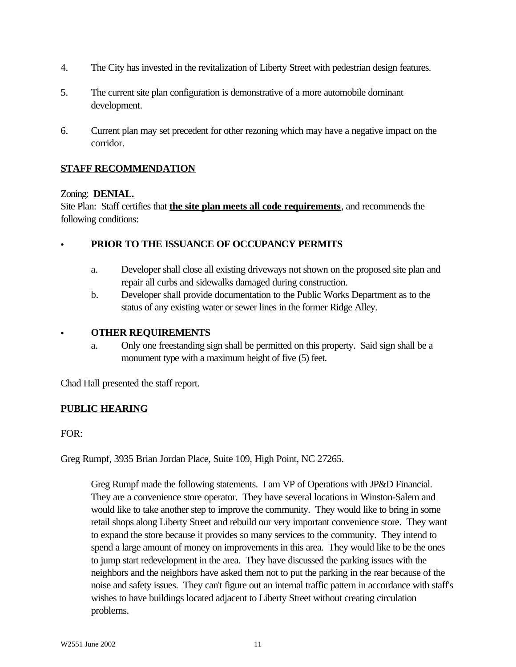- 4. The City has invested in the revitalization of Liberty Street with pedestrian design features.
- 5. The current site plan configuration is demonstrative of a more automobile dominant development.
- 6. Current plan may set precedent for other rezoning which may have a negative impact on the corridor.

# **STAFF RECOMMENDATION**

#### Zoning: **DENIAL.**

Site Plan: Staff certifies that **the site plan meets all code requirements**, and recommends the following conditions:

#### C **PRIOR TO THE ISSUANCE OF OCCUPANCY PERMITS**

- a. Developer shall close all existing driveways not shown on the proposed site plan and repair all curbs and sidewalks damaged during construction.
- b. Developer shall provide documentation to the Public Works Department as to the status of any existing water or sewer lines in the former Ridge Alley.

#### C **OTHER REQUIREMENTS**

a. Only one freestanding sign shall be permitted on this property. Said sign shall be a monument type with a maximum height of five (5) feet.

Chad Hall presented the staff report.

# **PUBLIC HEARING**

FOR:

Greg Rumpf, 3935 Brian Jordan Place, Suite 109, High Point, NC 27265.

Greg Rumpf made the following statements. I am VP of Operations with JP&D Financial. They are a convenience store operator. They have several locations in Winston-Salem and would like to take another step to improve the community. They would like to bring in some retail shops along Liberty Street and rebuild our very important convenience store. They want to expand the store because it provides so many services to the community. They intend to spend a large amount of money on improvements in this area. They would like to be the ones to jump start redevelopment in the area. They have discussed the parking issues with the neighbors and the neighbors have asked them not to put the parking in the rear because of the noise and safety issues. They can't figure out an internal traffic pattern in accordance with staff's wishes to have buildings located adjacent to Liberty Street without creating circulation problems.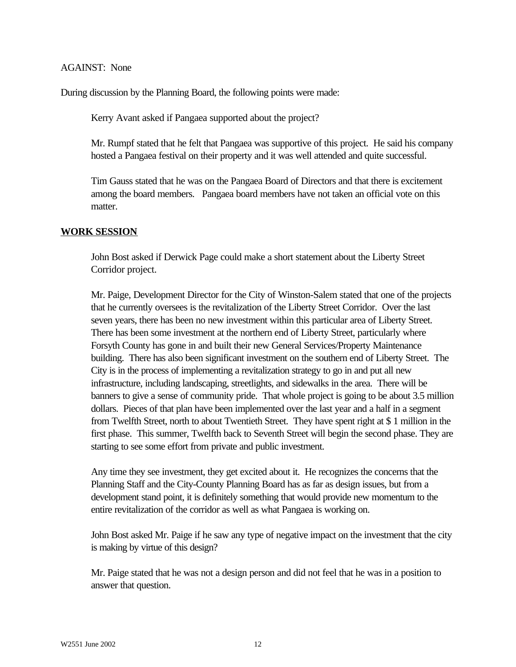#### AGAINST: None

During discussion by the Planning Board, the following points were made:

Kerry Avant asked if Pangaea supported about the project?

Mr. Rumpf stated that he felt that Pangaea was supportive of this project. He said his company hosted a Pangaea festival on their property and it was well attended and quite successful.

Tim Gauss stated that he was on the Pangaea Board of Directors and that there is excitement among the board members. Pangaea board members have not taken an official vote on this matter.

#### **WORK SESSION**

John Bost asked if Derwick Page could make a short statement about the Liberty Street Corridor project.

Mr. Paige, Development Director for the City of Winston-Salem stated that one of the projects that he currently oversees is the revitalization of the Liberty Street Corridor. Over the last seven years, there has been no new investment within this particular area of Liberty Street. There has been some investment at the northern end of Liberty Street, particularly where Forsyth County has gone in and built their new General Services/Property Maintenance building. There has also been significant investment on the southern end of Liberty Street. The City is in the process of implementing a revitalization strategy to go in and put all new infrastructure, including landscaping, streetlights, and sidewalks in the area. There will be banners to give a sense of community pride. That whole project is going to be about 3.5 million dollars. Pieces of that plan have been implemented over the last year and a half in a segment from Twelfth Street, north to about Twentieth Street. They have spent right at \$ 1 million in the first phase. This summer, Twelfth back to Seventh Street will begin the second phase. They are starting to see some effort from private and public investment.

Any time they see investment, they get excited about it. He recognizes the concerns that the Planning Staff and the City-County Planning Board has as far as design issues, but from a development stand point, it is definitely something that would provide new momentum to the entire revitalization of the corridor as well as what Pangaea is working on.

John Bost asked Mr. Paige if he saw any type of negative impact on the investment that the city is making by virtue of this design?

Mr. Paige stated that he was not a design person and did not feel that he was in a position to answer that question.